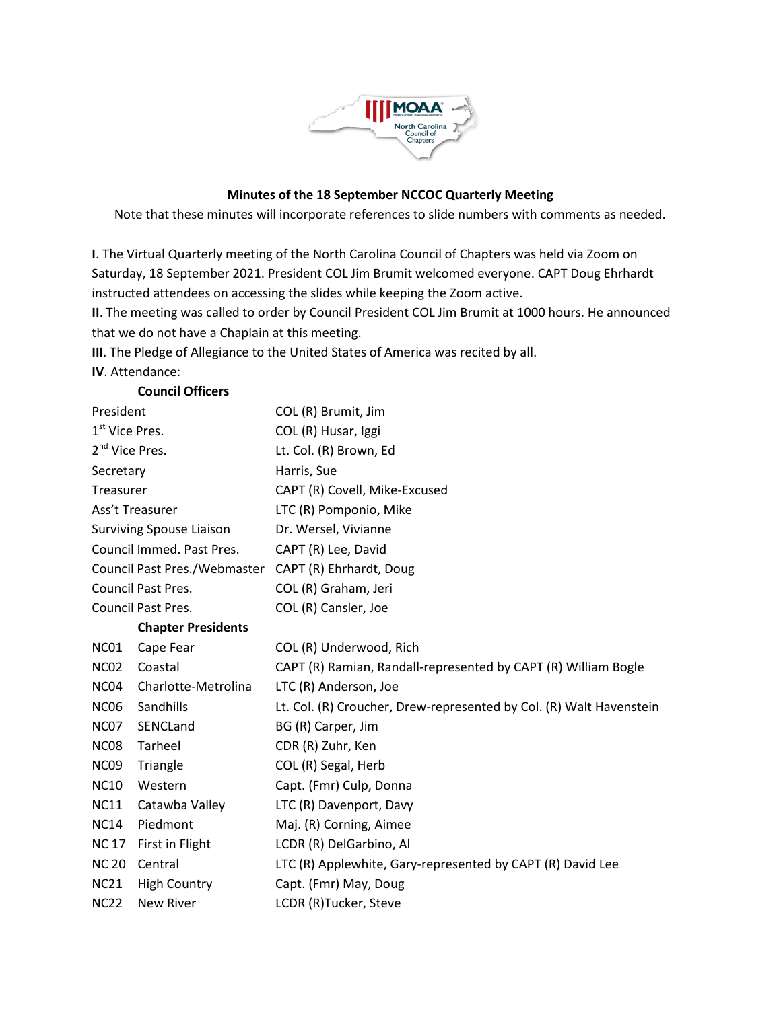

## **Minutes of the 18 September NCCOC Quarterly Meeting**

Note that these minutes will incorporate references to slide numbers with comments as needed.

**I**. The Virtual Quarterly meeting of the North Carolina Council of Chapters was held via Zoom on Saturday, 18 September 2021. President COL Jim Brumit welcomed everyone. CAPT Doug Ehrhardt instructed attendees on accessing the slides while keeping the Zoom active.

**II**. The meeting was called to order by Council President COL Jim Brumit at 1000 hours. He announced that we do not have a Chaplain at this meeting.

**III**. The Pledge of Allegiance to the United States of America was recited by all.

**IV**. Attendance:

| President                       | COL (R) Brumit, Jim                                                 |
|---------------------------------|---------------------------------------------------------------------|
| 1 <sup>st</sup> Vice Pres.      | COL (R) Husar, Iggi                                                 |
| 2 <sup>nd</sup> Vice Pres.      | Lt. Col. (R) Brown, Ed                                              |
| Secretary                       | Harris, Sue                                                         |
| Treasurer                       | CAPT (R) Covell, Mike-Excused                                       |
| Ass't Treasurer                 | LTC (R) Pomponio, Mike                                              |
| <b>Surviving Spouse Liaison</b> | Dr. Wersel, Vivianne                                                |
| Council Immed. Past Pres.       | CAPT (R) Lee, David                                                 |
|                                 | Council Past Pres./Webmaster CAPT (R) Ehrhardt, Doug                |
| Council Past Pres.              | COL (R) Graham, Jeri                                                |
| Council Past Pres.              | COL (R) Cansler, Joe                                                |
| <b>Chapter Presidents</b>       |                                                                     |
| Cape Fear                       | COL (R) Underwood, Rich                                             |
| Coastal                         | CAPT (R) Ramian, Randall-represented by CAPT (R) William Bogle      |
| Charlotte-Metrolina             | LTC (R) Anderson, Joe                                               |
| Sandhills                       | Lt. Col. (R) Croucher, Drew-represented by Col. (R) Walt Havenstein |
| SENCLand                        | BG (R) Carper, Jim                                                  |
| Tarheel                         | CDR (R) Zuhr, Ken                                                   |
| Triangle                        | COL (R) Segal, Herb                                                 |
| Western                         | Capt. (Fmr) Culp, Donna                                             |
| Catawba Valley                  | LTC (R) Davenport, Davy                                             |
| Piedmont                        | Maj. (R) Corning, Aimee                                             |
| First in Flight                 | LCDR (R) DelGarbino, Al                                             |
| Central                         | LTC (R) Applewhite, Gary-represented by CAPT (R) David Lee          |
| <b>High Country</b>             | Capt. (Fmr) May, Doug                                               |
| New River                       | LCDR (R)Tucker, Steve                                               |
|                                 | <b>Council Officers</b>                                             |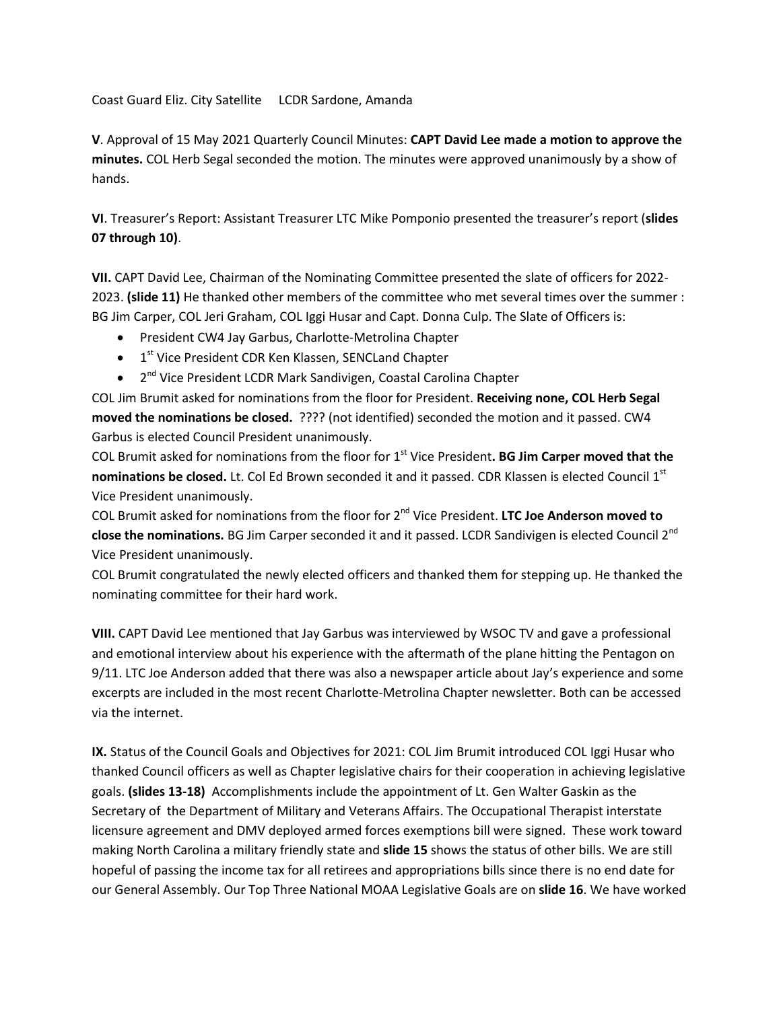Coast Guard Eliz. City Satellite LCDR Sardone, Amanda

**V**. Approval of 15 May 2021 Quarterly Council Minutes: **CAPT David Lee made a motion to approve the minutes.** COL Herb Segal seconded the motion. The minutes were approved unanimously by a show of hands.

**VI**. Treasurer's Report: Assistant Treasurer LTC Mike Pomponio presented the treasurer's report (**slides 07 through 10)**.

**VII.** CAPT David Lee, Chairman of the Nominating Committee presented the slate of officers for 2022- 2023. **(slide 11)** He thanked other members of the committee who met several times over the summer : BG Jim Carper, COL Jeri Graham, COL Iggi Husar and Capt. Donna Culp. The Slate of Officers is:

- President CW4 Jay Garbus, Charlotte-Metrolina Chapter
- **•** 1<sup>st</sup> Vice President CDR Ken Klassen, SENCLand Chapter
- 2<sup>nd</sup> Vice President LCDR Mark Sandivigen, Coastal Carolina Chapter

COL Jim Brumit asked for nominations from the floor for President. **Receiving none, COL Herb Segal moved the nominations be closed.** ???? (not identified) seconded the motion and it passed. CW4 Garbus is elected Council President unanimously.

COL Brumit asked for nominations from the floor for 1<sup>st</sup> Vice President. **BG Jim Carper moved that the** nominations be closed. Lt. Col Ed Brown seconded it and it passed. CDR Klassen is elected Council 1<sup>st</sup> Vice President unanimously.

COL Brumit asked for nominations from the floor for 2nd Vice President. **LTC Joe Anderson moved to close the nominations.** BG Jim Carper seconded it and it passed. LCDR Sandivigen is elected Council 2nd Vice President unanimously.

COL Brumit congratulated the newly elected officers and thanked them for stepping up. He thanked the nominating committee for their hard work.

**VIII.** CAPT David Lee mentioned that Jay Garbus was interviewed by WSOC TV and gave a professional and emotional interview about his experience with the aftermath of the plane hitting the Pentagon on 9/11. LTC Joe Anderson added that there was also a newspaper article about Jay's experience and some excerpts are included in the most recent Charlotte-Metrolina Chapter newsletter. Both can be accessed via the internet.

**IX.** Status of the Council Goals and Objectives for 2021: COL Jim Brumit introduced COL Iggi Husar who thanked Council officers as well as Chapter legislative chairs for their cooperation in achieving legislative goals. **(slides 13-18)** Accomplishments include the appointment of Lt. Gen Walter Gaskin as the Secretary of the Department of Military and Veterans Affairs. The Occupational Therapist interstate licensure agreement and DMV deployed armed forces exemptions bill were signed. These work toward making North Carolina a military friendly state and **slide 15** shows the status of other bills. We are still hopeful of passing the income tax for all retirees and appropriations bills since there is no end date for our General Assembly. Our Top Three National MOAA Legislative Goals are on **slide 16**. We have worked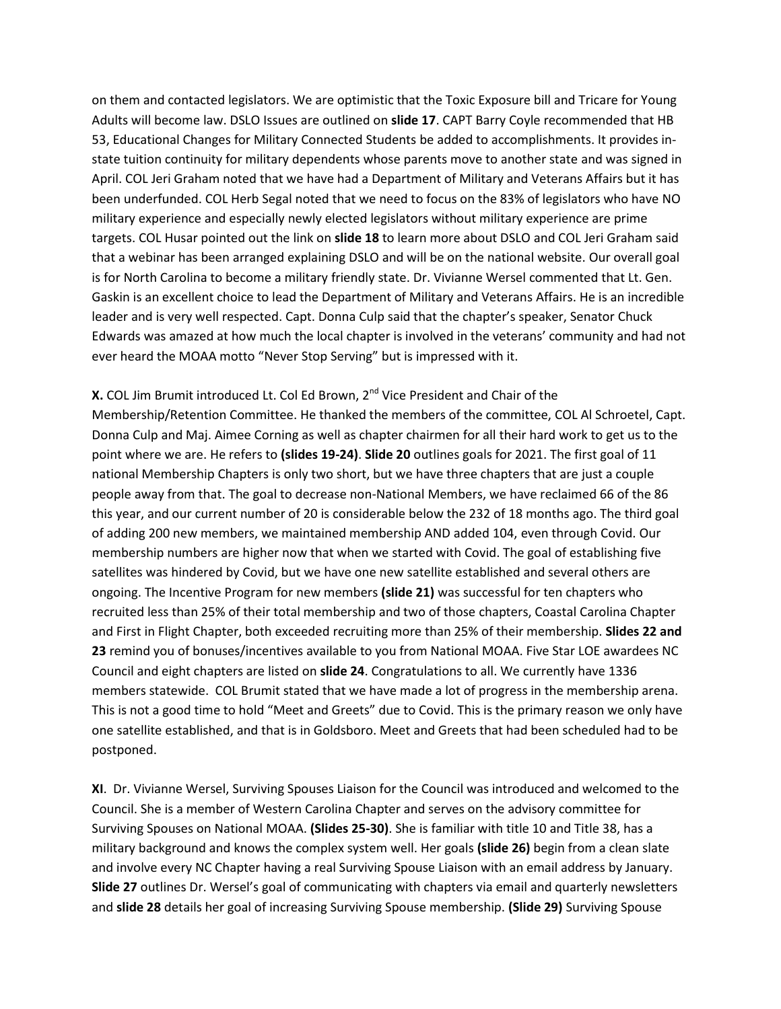on them and contacted legislators. We are optimistic that the Toxic Exposure bill and Tricare for Young Adults will become law. DSLO Issues are outlined on **slide 17**. CAPT Barry Coyle recommended that HB 53, Educational Changes for Military Connected Students be added to accomplishments. It provides instate tuition continuity for military dependents whose parents move to another state and was signed in April. COL Jeri Graham noted that we have had a Department of Military and Veterans Affairs but it has been underfunded. COL Herb Segal noted that we need to focus on the 83% of legislators who have NO military experience and especially newly elected legislators without military experience are prime targets. COL Husar pointed out the link on **slide 18** to learn more about DSLO and COL Jeri Graham said that a webinar has been arranged explaining DSLO and will be on the national website. Our overall goal is for North Carolina to become a military friendly state. Dr. Vivianne Wersel commented that Lt. Gen. Gaskin is an excellent choice to lead the Department of Military and Veterans Affairs. He is an incredible leader and is very well respected. Capt. Donna Culp said that the chapter's speaker, Senator Chuck Edwards was amazed at how much the local chapter is involved in the veterans' community and had not ever heard the MOAA motto "Never Stop Serving" but is impressed with it.

**X.** COL Jim Brumit introduced Lt. Col Ed Brown, 2<sup>nd</sup> Vice President and Chair of the Membership/Retention Committee. He thanked the members of the committee, COL Al Schroetel, Capt. Donna Culp and Maj. Aimee Corning as well as chapter chairmen for all their hard work to get us to the point where we are. He refers to **(slides 19-24)**. **Slide 20** outlines goals for 2021. The first goal of 11 national Membership Chapters is only two short, but we have three chapters that are just a couple people away from that. The goal to decrease non-National Members, we have reclaimed 66 of the 86 this year, and our current number of 20 is considerable below the 232 of 18 months ago. The third goal of adding 200 new members, we maintained membership AND added 104, even through Covid. Our membership numbers are higher now that when we started with Covid. The goal of establishing five satellites was hindered by Covid, but we have one new satellite established and several others are ongoing. The Incentive Program for new members **(slide 21)** was successful for ten chapters who recruited less than 25% of their total membership and two of those chapters, Coastal Carolina Chapter and First in Flight Chapter, both exceeded recruiting more than 25% of their membership. **Slides 22 and 23** remind you of bonuses/incentives available to you from National MOAA. Five Star LOE awardees NC Council and eight chapters are listed on **slide 24**. Congratulations to all. We currently have 1336 members statewide. COL Brumit stated that we have made a lot of progress in the membership arena. This is not a good time to hold "Meet and Greets" due to Covid. This is the primary reason we only have one satellite established, and that is in Goldsboro. Meet and Greets that had been scheduled had to be postponed.

**XI**. Dr. Vivianne Wersel, Surviving Spouses Liaison for the Council was introduced and welcomed to the Council. She is a member of Western Carolina Chapter and serves on the advisory committee for Surviving Spouses on National MOAA. **(Slides 25-30)**. She is familiar with title 10 and Title 38, has a military background and knows the complex system well. Her goals **(slide 26)** begin from a clean slate and involve every NC Chapter having a real Surviving Spouse Liaison with an email address by January. **Slide 27** outlines Dr. Wersel's goal of communicating with chapters via email and quarterly newsletters and **slide 28** details her goal of increasing Surviving Spouse membership. **(Slide 29)** Surviving Spouse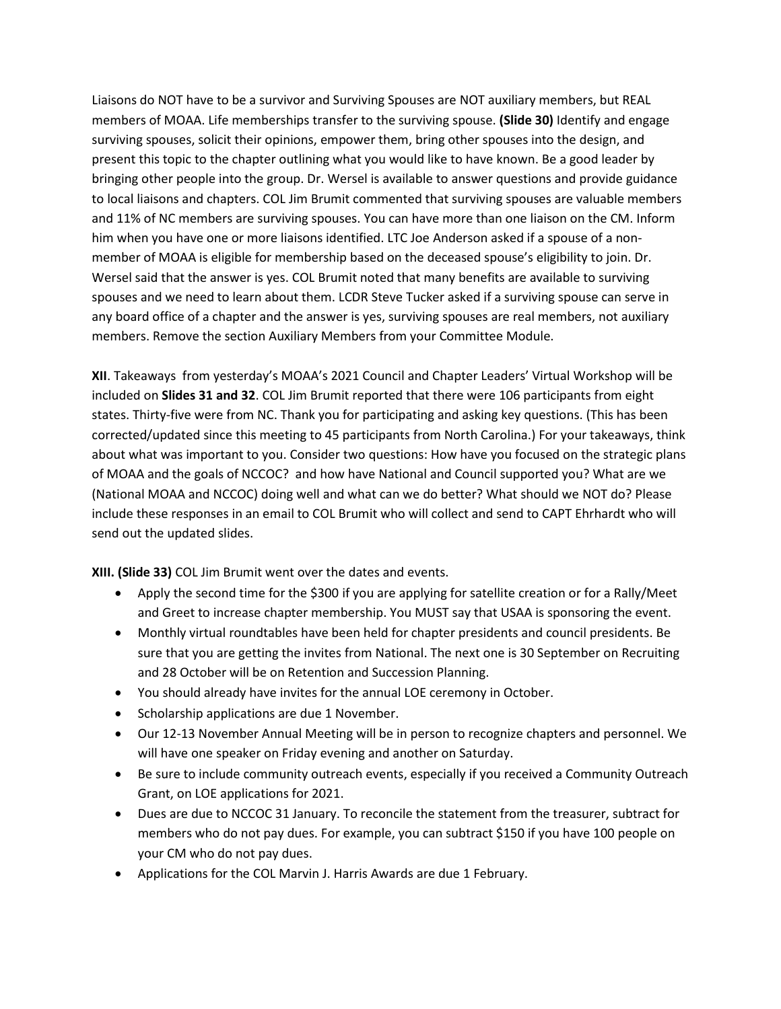Liaisons do NOT have to be a survivor and Surviving Spouses are NOT auxiliary members, but REAL members of MOAA. Life memberships transfer to the surviving spouse. **(Slide 30)** Identify and engage surviving spouses, solicit their opinions, empower them, bring other spouses into the design, and present this topic to the chapter outlining what you would like to have known. Be a good leader by bringing other people into the group. Dr. Wersel is available to answer questions and provide guidance to local liaisons and chapters. COL Jim Brumit commented that surviving spouses are valuable members and 11% of NC members are surviving spouses. You can have more than one liaison on the CM. Inform him when you have one or more liaisons identified. LTC Joe Anderson asked if a spouse of a nonmember of MOAA is eligible for membership based on the deceased spouse's eligibility to join. Dr. Wersel said that the answer is yes. COL Brumit noted that many benefits are available to surviving spouses and we need to learn about them. LCDR Steve Tucker asked if a surviving spouse can serve in any board office of a chapter and the answer is yes, surviving spouses are real members, not auxiliary members. Remove the section Auxiliary Members from your Committee Module.

**XII**. Takeaways from yesterday's MOAA's 2021 Council and Chapter Leaders' Virtual Workshop will be included on **Slides 31 and 32**. COL Jim Brumit reported that there were 106 participants from eight states. Thirty-five were from NC. Thank you for participating and asking key questions. (This has been corrected/updated since this meeting to 45 participants from North Carolina.) For your takeaways, think about what was important to you. Consider two questions: How have you focused on the strategic plans of MOAA and the goals of NCCOC? and how have National and Council supported you? What are we (National MOAA and NCCOC) doing well and what can we do better? What should we NOT do? Please include these responses in an email to COL Brumit who will collect and send to CAPT Ehrhardt who will send out the updated slides.

**XIII. (Slide 33)** COL Jim Brumit went over the dates and events.

- Apply the second time for the \$300 if you are applying for satellite creation or for a Rally/Meet and Greet to increase chapter membership. You MUST say that USAA is sponsoring the event.
- Monthly virtual roundtables have been held for chapter presidents and council presidents. Be sure that you are getting the invites from National. The next one is 30 September on Recruiting and 28 October will be on Retention and Succession Planning.
- You should already have invites for the annual LOE ceremony in October.
- Scholarship applications are due 1 November.
- Our 12-13 November Annual Meeting will be in person to recognize chapters and personnel. We will have one speaker on Friday evening and another on Saturday.
- Be sure to include community outreach events, especially if you received a Community Outreach Grant, on LOE applications for 2021.
- Dues are due to NCCOC 31 January. To reconcile the statement from the treasurer, subtract for members who do not pay dues. For example, you can subtract \$150 if you have 100 people on your CM who do not pay dues.
- Applications for the COL Marvin J. Harris Awards are due 1 February.